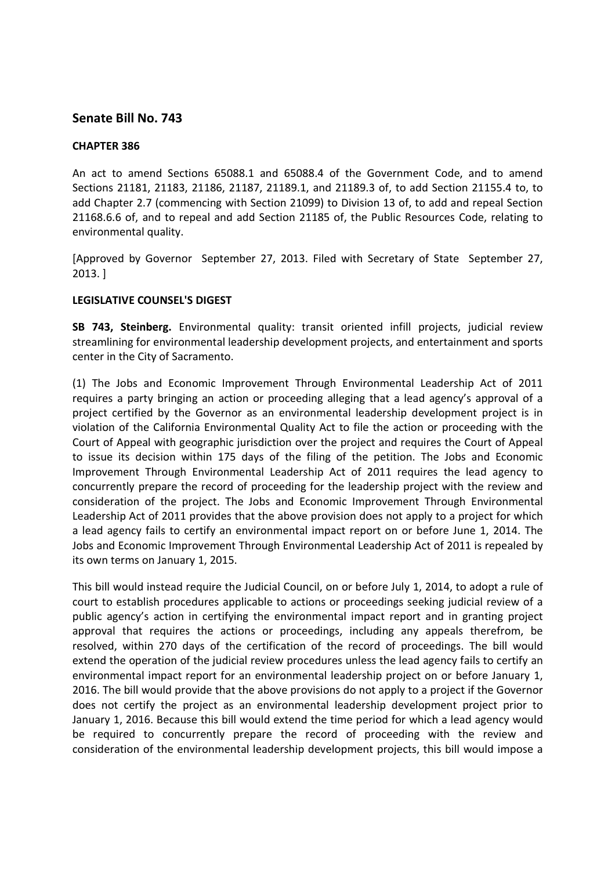## **Senate Bill No. 743**

## **CHAPTER 386**

An act to amend Sections 65088.1 and 65088.4 of the Government Code, and to amend Sections 21181, 21183, 21186, 21187, 21189.1, and 21189.3 of, to add Section 21155.4 to, to add Chapter 2.7 (commencing with Section 21099) to Division 13 of, to add and repeal Section 21168.6.6 of, and to repeal and add Section 21185 of, the Public Resources Code, relating to environmental quality.

[Approved by Governor September 27, 2013. Filed with Secretary of State September 27, 2013. ]

## **LEGISLATIVE COUNSEL'S DIGEST**

**SB 743, Steinberg.** Environmental quality: transit oriented infill projects, judicial review streamlining for environmental leadership development projects, and entertainment and sports center in the City of Sacramento.

(1) The Jobs and Economic Improvement Through Environmental Leadership Act of 2011 requires a party bringing an action or proceeding alleging that a lead agency's approval of a project certified by the Governor as an environmental leadership development project is in violation of the California Environmental Quality Act to file the action or proceeding with the Court of Appeal with geographic jurisdiction over the project and requires the Court of Appeal to issue its decision within 175 days of the filing of the petition. The Jobs and Economic Improvement Through Environmental Leadership Act of 2011 requires the lead agency to concurrently prepare the record of proceeding for the leadership project with the review and consideration of the project. The Jobs and Economic Improvement Through Environmental Leadership Act of 2011 provides that the above provision does not apply to a project for which a lead agency fails to certify an environmental impact report on or before June 1, 2014. The Jobs and Economic Improvement Through Environmental Leadership Act of 2011 is repealed by its own terms on January 1, 2015.

This bill would instead require the Judicial Council, on or before July 1, 2014, to adopt a rule of court to establish procedures applicable to actions or proceedings seeking judicial review of a public agency's action in certifying the environmental impact report and in granting project approval that requires the actions or proceedings, including any appeals therefrom, be resolved, within 270 days of the certification of the record of proceedings. The bill would extend the operation of the judicial review procedures unless the lead agency fails to certify an environmental impact report for an environmental leadership project on or before January 1, 2016. The bill would provide that the above provisions do not apply to a project if the Governor does not certify the project as an environmental leadership development project prior to January 1, 2016. Because this bill would extend the time period for which a lead agency would be required to concurrently prepare the record of proceeding with the review and consideration of the environmental leadership development projects, this bill would impose a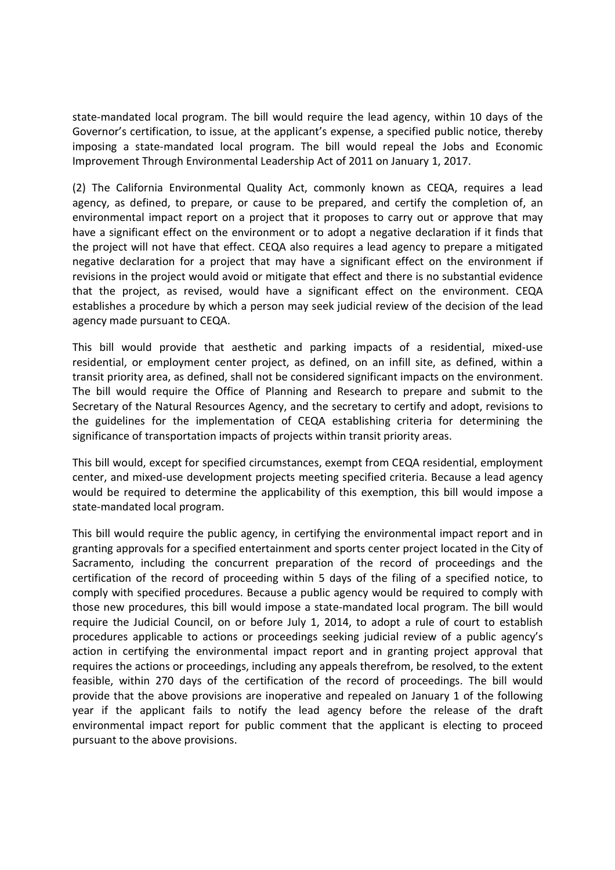state-mandated local program. The bill would require the lead agency, within 10 days of the Governor's certification, to issue, at the applicant's expense, a specified public notice, thereby imposing a state-mandated local program. The bill would repeal the Jobs and Economic Improvement Through Environmental Leadership Act of 2011 on January 1, 2017.

(2) The California Environmental Quality Act, commonly known as CEQA, requires a lead agency, as defined, to prepare, or cause to be prepared, and certify the completion of, an environmental impact report on a project that it proposes to carry out or approve that may have a significant effect on the environment or to adopt a negative declaration if it finds that the project will not have that effect. CEQA also requires a lead agency to prepare a mitigated negative declaration for a project that may have a significant effect on the environment if revisions in the project would avoid or mitigate that effect and there is no substantial evidence that the project, as revised, would have a significant effect on the environment. CEQA establishes a procedure by which a person may seek judicial review of the decision of the lead agency made pursuant to CEQA.

This bill would provide that aesthetic and parking impacts of a residential, mixed-use residential, or employment center project, as defined, on an infill site, as defined, within a transit priority area, as defined, shall not be considered significant impacts on the environment. The bill would require the Office of Planning and Research to prepare and submit to the Secretary of the Natural Resources Agency, and the secretary to certify and adopt, revisions to the guidelines for the implementation of CEQA establishing criteria for determining the significance of transportation impacts of projects within transit priority areas.

This bill would, except for specified circumstances, exempt from CEQA residential, employment center, and mixed-use development projects meeting specified criteria. Because a lead agency would be required to determine the applicability of this exemption, this bill would impose a state-mandated local program.

This bill would require the public agency, in certifying the environmental impact report and in granting approvals for a specified entertainment and sports center project located in the City of Sacramento, including the concurrent preparation of the record of proceedings and the certification of the record of proceeding within 5 days of the filing of a specified notice, to comply with specified procedures. Because a public agency would be required to comply with those new procedures, this bill would impose a state-mandated local program. The bill would require the Judicial Council, on or before July 1, 2014, to adopt a rule of court to establish procedures applicable to actions or proceedings seeking judicial review of a public agency's action in certifying the environmental impact report and in granting project approval that requires the actions or proceedings, including any appeals therefrom, be resolved, to the extent feasible, within 270 days of the certification of the record of proceedings. The bill would provide that the above provisions are inoperative and repealed on January 1 of the following year if the applicant fails to notify the lead agency before the release of the draft environmental impact report for public comment that the applicant is electing to proceed pursuant to the above provisions.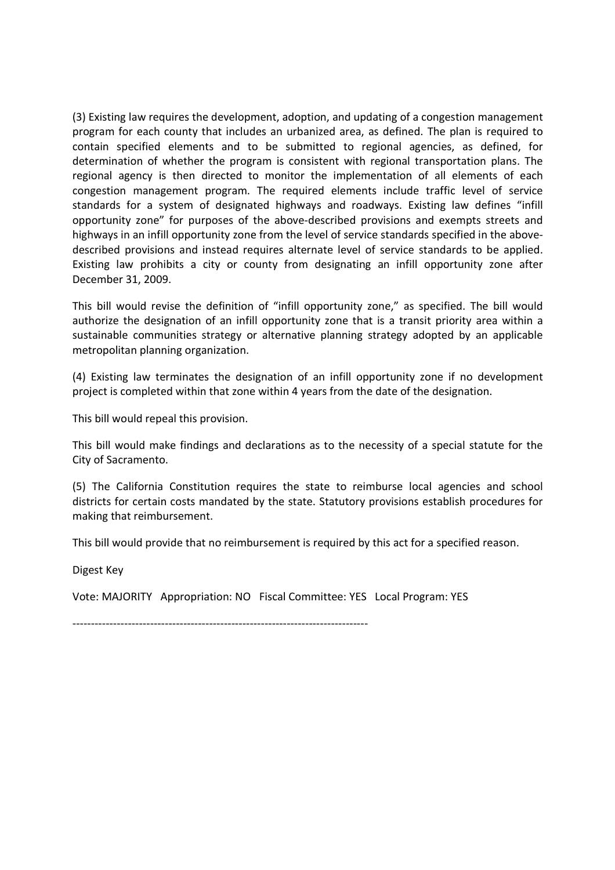(3) Existing law requires the development, adoption, and updating of a congestion management program for each county that includes an urbanized area, as defined. The plan is required to contain specified elements and to be submitted to regional agencies, as defined, for determination of whether the program is consistent with regional transportation plans. The regional agency is then directed to monitor the implementation of all elements of each congestion management program. The required elements include traffic level of service standards for a system of designated highways and roadways. Existing law defines "infill opportunity zone" for purposes of the above-described provisions and exempts streets and highways in an infill opportunity zone from the level of service standards specified in the abovedescribed provisions and instead requires alternate level of service standards to be applied. Existing law prohibits a city or county from designating an infill opportunity zone after December 31, 2009.

This bill would revise the definition of "infill opportunity zone," as specified. The bill would authorize the designation of an infill opportunity zone that is a transit priority area within a sustainable communities strategy or alternative planning strategy adopted by an applicable metropolitan planning organization.

(4) Existing law terminates the designation of an infill opportunity zone if no development project is completed within that zone within 4 years from the date of the designation.

This bill would repeal this provision.

This bill would make findings and declarations as to the necessity of a special statute for the City of Sacramento.

(5) The California Constitution requires the state to reimburse local agencies and school districts for certain costs mandated by the state. Statutory provisions establish procedures for making that reimbursement.

This bill would provide that no reimbursement is required by this act for a specified reason.

Digest Key

Vote: MAJORITY Appropriation: NO Fiscal Committee: YES Local Program: YES

--------------------------------------------------------------------------------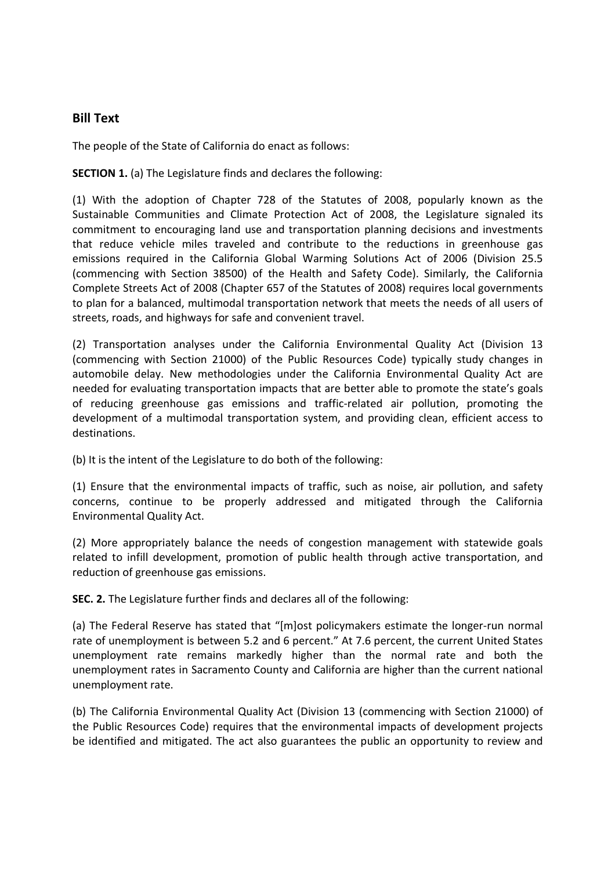## **Bill Text**

The people of the State of California do enact as follows:

**SECTION 1.** (a) The Legislature finds and declares the following:

(1) With the adoption of Chapter 728 of the Statutes of 2008, popularly known as the Sustainable Communities and Climate Protection Act of 2008, the Legislature signaled its commitment to encouraging land use and transportation planning decisions and investments that reduce vehicle miles traveled and contribute to the reductions in greenhouse gas emissions required in the California Global Warming Solutions Act of 2006 (Division 25.5 (commencing with Section 38500) of the Health and Safety Code). Similarly, the California Complete Streets Act of 2008 (Chapter 657 of the Statutes of 2008) requires local governments to plan for a balanced, multimodal transportation network that meets the needs of all users of streets, roads, and highways for safe and convenient travel.

(2) Transportation analyses under the California Environmental Quality Act (Division 13 (commencing with Section 21000) of the Public Resources Code) typically study changes in automobile delay. New methodologies under the California Environmental Quality Act are needed for evaluating transportation impacts that are better able to promote the state's goals of reducing greenhouse gas emissions and traffic-related air pollution, promoting the development of a multimodal transportation system, and providing clean, efficient access to destinations.

(b) It is the intent of the Legislature to do both of the following:

(1) Ensure that the environmental impacts of traffic, such as noise, air pollution, and safety concerns, continue to be properly addressed and mitigated through the California Environmental Quality Act.

(2) More appropriately balance the needs of congestion management with statewide goals related to infill development, promotion of public health through active transportation, and reduction of greenhouse gas emissions.

**SEC. 2.** The Legislature further finds and declares all of the following:

(a) The Federal Reserve has stated that "[m]ost policymakers estimate the longer-run normal rate of unemployment is between 5.2 and 6 percent." At 7.6 percent, the current United States unemployment rate remains markedly higher than the normal rate and both the unemployment rates in Sacramento County and California are higher than the current national unemployment rate.

(b) The California Environmental Quality Act (Division 13 (commencing with Section 21000) of the Public Resources Code) requires that the environmental impacts of development projects be identified and mitigated. The act also guarantees the public an opportunity to review and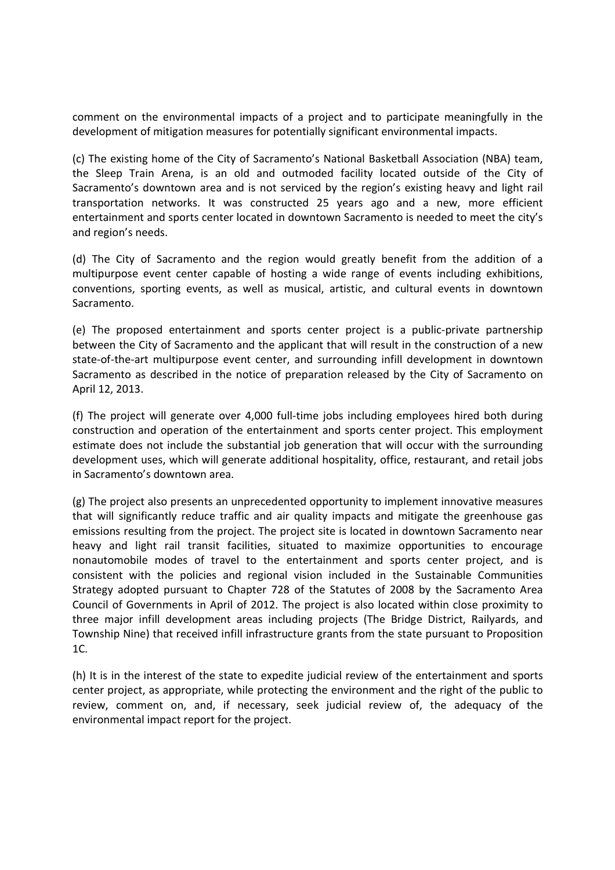comment on the environmental impacts of a project and to participate meaningfully in the development of mitigation measures for potentially significant environmental impacts.

(c) The existing home of the City of Sacramento's National Basketball Association (NBA) team, the Sleep Train Arena, is an old and outmoded facility located outside of the City of Sacramento's downtown area and is not serviced by the region's existing heavy and light rail transportation networks. It was constructed 25 years ago and a new, more efficient entertainment and sports center located in downtown Sacramento is needed to meet the city's and region's needs.

(d) The City of Sacramento and the region would greatly benefit from the addition of a multipurpose event center capable of hosting a wide range of events including exhibitions, conventions, sporting events, as well as musical, artistic, and cultural events in downtown Sacramento.

(e) The proposed entertainment and sports center project is a public-private partnership between the City of Sacramento and the applicant that will result in the construction of a new state-of-the-art multipurpose event center, and surrounding infill development in downtown Sacramento as described in the notice of preparation released by the City of Sacramento on April 12, 2013.

(f) The project will generate over 4,000 full-time jobs including employees hired both during construction and operation of the entertainment and sports center project. This employment estimate does not include the substantial job generation that will occur with the surrounding development uses, which will generate additional hospitality, office, restaurant, and retail jobs in Sacramento's downtown area.

(g) The project also presents an unprecedented opportunity to implement innovative measures that will significantly reduce traffic and air quality impacts and mitigate the greenhouse gas emissions resulting from the project. The project site is located in downtown Sacramento near heavy and light rail transit facilities, situated to maximize opportunities to encourage nonautomobile modes of travel to the entertainment and sports center project, and is consistent with the policies and regional vision included in the Sustainable Communities Strategy adopted pursuant to Chapter 728 of the Statutes of 2008 by the Sacramento Area Council of Governments in April of 2012. The project is also located within close proximity to three major infill development areas including projects (The Bridge District, Railyards, and Township Nine) that received infill infrastructure grants from the state pursuant to Proposition 1C.

(h) It is in the interest of the state to expedite judicial review of the entertainment and sports center project, as appropriate, while protecting the environment and the right of the public to review, comment on, and, if necessary, seek judicial review of, the adequacy of the environmental impact report for the project.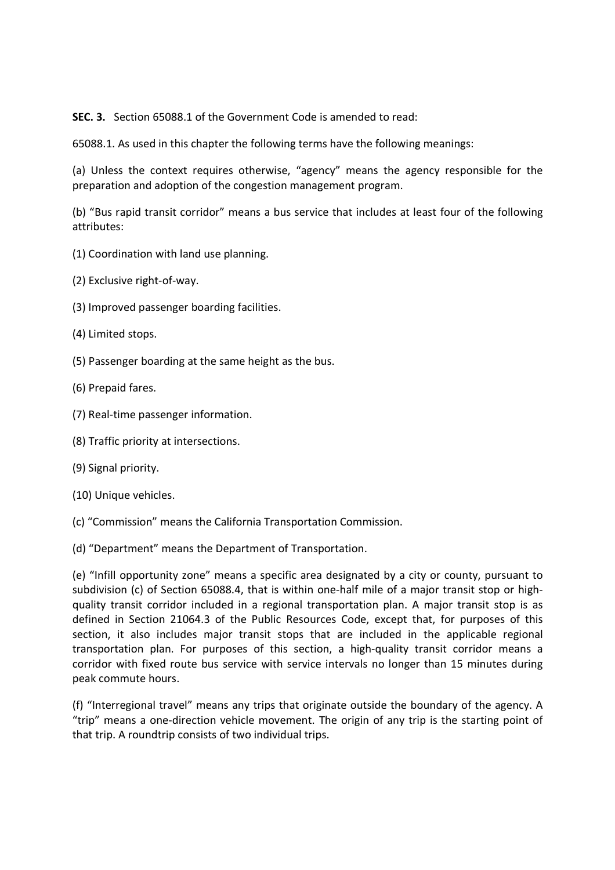**SEC. 3.** Section 65088.1 of the Government Code is amended to read:

65088.1. As used in this chapter the following terms have the following meanings:

(a) Unless the context requires otherwise, "agency" means the agency responsible for the preparation and adoption of the congestion management program.

(b) "Bus rapid transit corridor" means a bus service that includes at least four of the following attributes:

- (1) Coordination with land use planning.
- (2) Exclusive right-of-way.
- (3) Improved passenger boarding facilities.
- (4) Limited stops.
- (5) Passenger boarding at the same height as the bus.
- (6) Prepaid fares.
- (7) Real-time passenger information.
- (8) Traffic priority at intersections.
- (9) Signal priority.
- (10) Unique vehicles.
- (c) "Commission" means the California Transportation Commission.

(d) "Department" means the Department of Transportation.

(e) "Infill opportunity zone" means a specific area designated by a city or county, pursuant to subdivision (c) of Section 65088.4, that is within one-half mile of a major transit stop or highquality transit corridor included in a regional transportation plan. A major transit stop is as defined in Section 21064.3 of the Public Resources Code, except that, for purposes of this section, it also includes major transit stops that are included in the applicable regional transportation plan. For purposes of this section, a high-quality transit corridor means a corridor with fixed route bus service with service intervals no longer than 15 minutes during peak commute hours.

(f) "Interregional travel" means any trips that originate outside the boundary of the agency. A "trip" means a one-direction vehicle movement. The origin of any trip is the starting point of that trip. A roundtrip consists of two individual trips.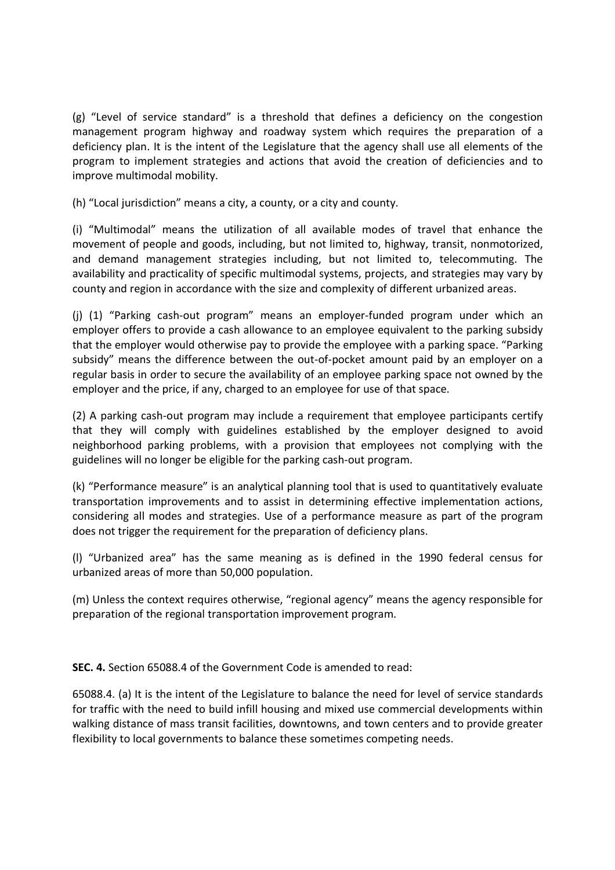(g) "Level of service standard" is a threshold that defines a deficiency on the congestion management program highway and roadway system which requires the preparation of a deficiency plan. It is the intent of the Legislature that the agency shall use all elements of the program to implement strategies and actions that avoid the creation of deficiencies and to improve multimodal mobility.

(h) "Local jurisdiction" means a city, a county, or a city and county.

(i) "Multimodal" means the utilization of all available modes of travel that enhance the movement of people and goods, including, but not limited to, highway, transit, nonmotorized, and demand management strategies including, but not limited to, telecommuting. The availability and practicality of specific multimodal systems, projects, and strategies may vary by county and region in accordance with the size and complexity of different urbanized areas.

(j) (1) "Parking cash-out program" means an employer-funded program under which an employer offers to provide a cash allowance to an employee equivalent to the parking subsidy that the employer would otherwise pay to provide the employee with a parking space. "Parking subsidy" means the difference between the out-of-pocket amount paid by an employer on a regular basis in order to secure the availability of an employee parking space not owned by the employer and the price, if any, charged to an employee for use of that space.

(2) A parking cash-out program may include a requirement that employee participants certify that they will comply with guidelines established by the employer designed to avoid neighborhood parking problems, with a provision that employees not complying with the guidelines will no longer be eligible for the parking cash-out program.

(k) "Performance measure" is an analytical planning tool that is used to quantitatively evaluate transportation improvements and to assist in determining effective implementation actions, considering all modes and strategies. Use of a performance measure as part of the program does not trigger the requirement for the preparation of deficiency plans.

(l) "Urbanized area" has the same meaning as is defined in the 1990 federal census for urbanized areas of more than 50,000 population.

(m) Unless the context requires otherwise, "regional agency" means the agency responsible for preparation of the regional transportation improvement program.

**SEC. 4.** Section 65088.4 of the Government Code is amended to read:

65088.4. (a) It is the intent of the Legislature to balance the need for level of service standards for traffic with the need to build infill housing and mixed use commercial developments within walking distance of mass transit facilities, downtowns, and town centers and to provide greater flexibility to local governments to balance these sometimes competing needs.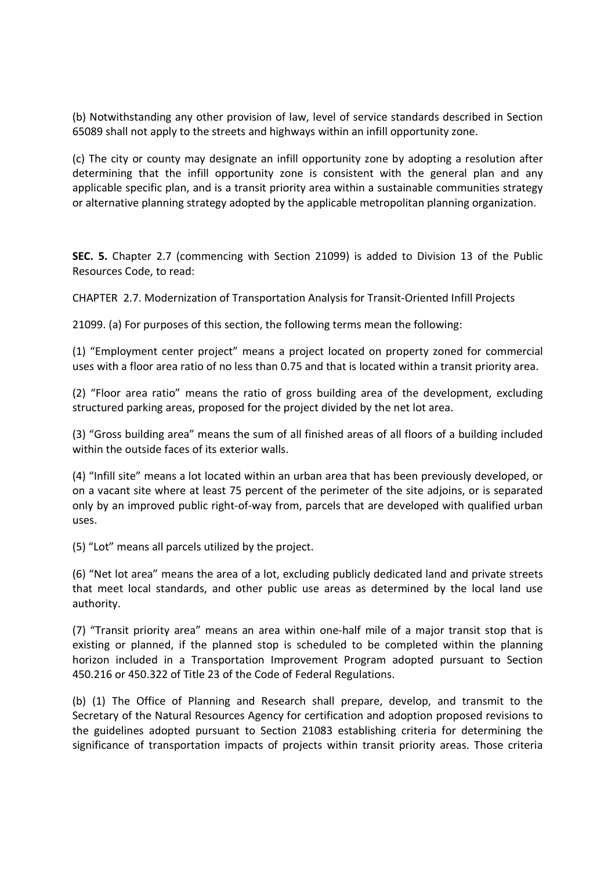(b) Notwithstanding any other provision of law, level of service standards described in Section 65089 shall not apply to the streets and highways within an infill opportunity zone.

(c) The city or county may designate an infill opportunity zone by adopting a resolution after determining that the infill opportunity zone is consistent with the general plan and any applicable specific plan, and is a transit priority area within a sustainable communities strategy or alternative planning strategy adopted by the applicable metropolitan planning organization.

**SEC. 5.** Chapter 2.7 (commencing with Section 21099) is added to Division 13 of the Public Resources Code, to read:

CHAPTER 2.7. Modernization of Transportation Analysis for Transit-Oriented Infill Projects

21099. (a) For purposes of this section, the following terms mean the following:

(1) "Employment center project" means a project located on property zoned for commercial uses with a floor area ratio of no less than 0.75 and that is located within a transit priority area.

(2) "Floor area ratio" means the ratio of gross building area of the development, excluding structured parking areas, proposed for the project divided by the net lot area.

(3) "Gross building area" means the sum of all finished areas of all floors of a building included within the outside faces of its exterior walls.

(4) "Infill site" means a lot located within an urban area that has been previously developed, or on a vacant site where at least 75 percent of the perimeter of the site adjoins, or is separated only by an improved public right-of-way from, parcels that are developed with qualified urban uses.

(5) "Lot" means all parcels utilized by the project.

(6) "Net lot area" means the area of a lot, excluding publicly dedicated land and private streets that meet local standards, and other public use areas as determined by the local land use authority.

(7) "Transit priority area" means an area within one-half mile of a major transit stop that is existing or planned, if the planned stop is scheduled to be completed within the planning horizon included in a Transportation Improvement Program adopted pursuant to Section 450.216 or 450.322 of Title 23 of the Code of Federal Regulations.

(b) (1) The Office of Planning and Research shall prepare, develop, and transmit to the Secretary of the Natural Resources Agency for certification and adoption proposed revisions to the guidelines adopted pursuant to Section 21083 establishing criteria for determining the significance of transportation impacts of projects within transit priority areas. Those criteria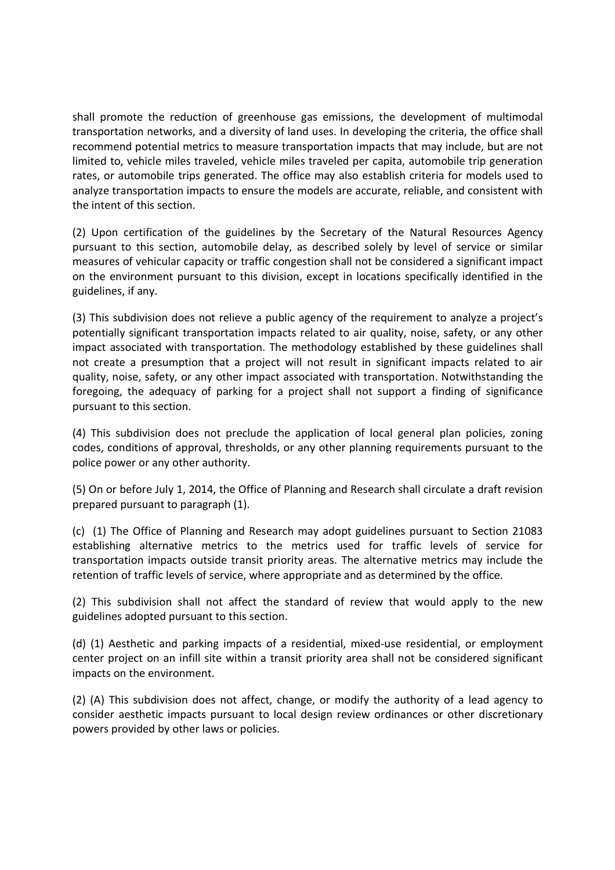shall promote the reduction of greenhouse gas emissions, the development of multimodal transportation networks, and a diversity of land uses. In developing the criteria, the office shall recommend potential metrics to measure transportation impacts that may include, but are not limited to, vehicle miles traveled, vehicle miles traveled per capita, automobile trip generation rates, or automobile trips generated. The office may also establish criteria for models used to analyze transportation impacts to ensure the models are accurate, reliable, and consistent with the intent of this section.

(2) Upon certification of the guidelines by the Secretary of the Natural Resources Agency pursuant to this section, automobile delay, as described solely by level of service or similar measures of vehicular capacity or traffic congestion shall not be considered a significant impact on the environment pursuant to this division, except in locations specifically identified in the guidelines, if any.

(3) This subdivision does not relieve a public agency of the requirement to analyze a project's potentially significant transportation impacts related to air quality, noise, safety, or any other impact associated with transportation. The methodology established by these guidelines shall not create a presumption that a project will not result in significant impacts related to air quality, noise, safety, or any other impact associated with transportation. Notwithstanding the foregoing, the adequacy of parking for a project shall not support a finding of significance pursuant to this section.

(4) This subdivision does not preclude the application of local general plan policies, zoning codes, conditions of approval, thresholds, or any other planning requirements pursuant to the police power or any other authority.

(5) On or before July 1, 2014, the Office of Planning and Research shall circulate a draft revision prepared pursuant to paragraph (1).

(c) (1) The Office of Planning and Research may adopt guidelines pursuant to Section 21083 establishing alternative metrics to the metrics used for traffic levels of service for transportation impacts outside transit priority areas. The alternative metrics may include the retention of traffic levels of service, where appropriate and as determined by the office.

(2) This subdivision shall not affect the standard of review that would apply to the new guidelines adopted pursuant to this section.

(d) (1) Aesthetic and parking impacts of a residential, mixed-use residential, or employment center project on an infill site within a transit priority area shall not be considered significant impacts on the environment.

(2) (A) This subdivision does not affect, change, or modify the authority of a lead agency to consider aesthetic impacts pursuant to local design review ordinances or other discretionary powers provided by other laws or policies.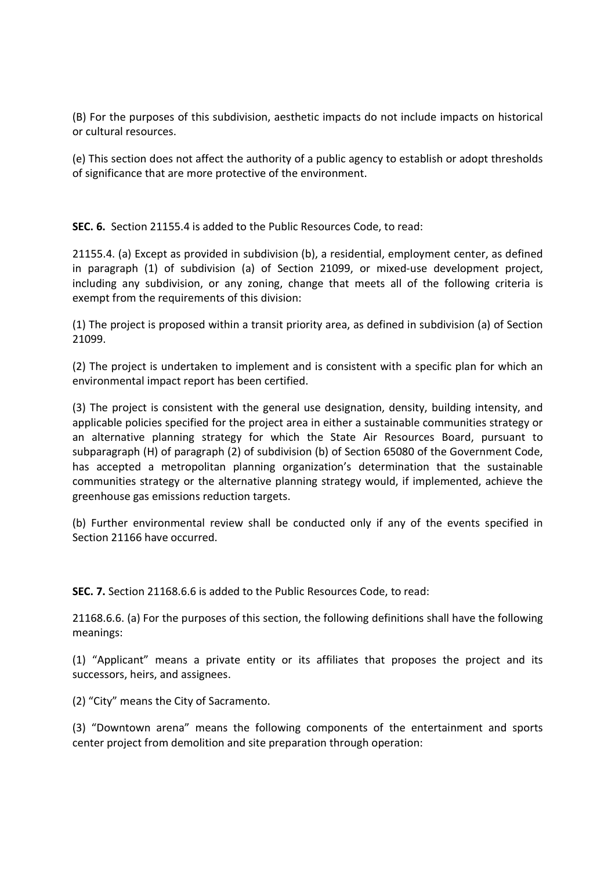(B) For the purposes of this subdivision, aesthetic impacts do not include impacts on historical or cultural resources.

(e) This section does not affect the authority of a public agency to establish or adopt thresholds of significance that are more protective of the environment.

**SEC. 6.** Section 21155.4 is added to the Public Resources Code, to read:

21155.4. (a) Except as provided in subdivision (b), a residential, employment center, as defined in paragraph (1) of subdivision (a) of Section 21099, or mixed-use development project, including any subdivision, or any zoning, change that meets all of the following criteria is exempt from the requirements of this division:

(1) The project is proposed within a transit priority area, as defined in subdivision (a) of Section 21099.

(2) The project is undertaken to implement and is consistent with a specific plan for which an environmental impact report has been certified.

(3) The project is consistent with the general use designation, density, building intensity, and applicable policies specified for the project area in either a sustainable communities strategy or an alternative planning strategy for which the State Air Resources Board, pursuant to subparagraph (H) of paragraph (2) of subdivision (b) of Section 65080 of the Government Code, has accepted a metropolitan planning organization's determination that the sustainable communities strategy or the alternative planning strategy would, if implemented, achieve the greenhouse gas emissions reduction targets.

(b) Further environmental review shall be conducted only if any of the events specified in Section 21166 have occurred.

**SEC. 7.** Section 21168.6.6 is added to the Public Resources Code, to read:

21168.6.6. (a) For the purposes of this section, the following definitions shall have the following meanings:

(1) "Applicant" means a private entity or its affiliates that proposes the project and its successors, heirs, and assignees.

(2) "City" means the City of Sacramento.

(3) "Downtown arena" means the following components of the entertainment and sports center project from demolition and site preparation through operation: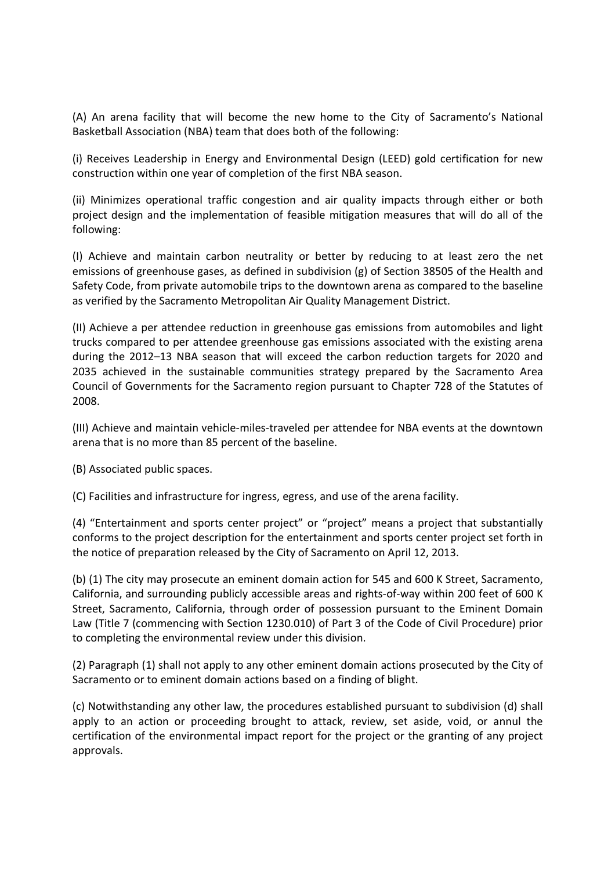(A) An arena facility that will become the new home to the City of Sacramento's National Basketball Association (NBA) team that does both of the following:

(i) Receives Leadership in Energy and Environmental Design (LEED) gold certification for new construction within one year of completion of the first NBA season.

(ii) Minimizes operational traffic congestion and air quality impacts through either or both project design and the implementation of feasible mitigation measures that will do all of the following:

(I) Achieve and maintain carbon neutrality or better by reducing to at least zero the net emissions of greenhouse gases, as defined in subdivision (g) of Section 38505 of the Health and Safety Code, from private automobile trips to the downtown arena as compared to the baseline as verified by the Sacramento Metropolitan Air Quality Management District.

(II) Achieve a per attendee reduction in greenhouse gas emissions from automobiles and light trucks compared to per attendee greenhouse gas emissions associated with the existing arena during the 2012–13 NBA season that will exceed the carbon reduction targets for 2020 and 2035 achieved in the sustainable communities strategy prepared by the Sacramento Area Council of Governments for the Sacramento region pursuant to Chapter 728 of the Statutes of 2008.

(III) Achieve and maintain vehicle-miles-traveled per attendee for NBA events at the downtown arena that is no more than 85 percent of the baseline.

(B) Associated public spaces.

(C) Facilities and infrastructure for ingress, egress, and use of the arena facility.

(4) "Entertainment and sports center project" or "project" means a project that substantially conforms to the project description for the entertainment and sports center project set forth in the notice of preparation released by the City of Sacramento on April 12, 2013.

(b) (1) The city may prosecute an eminent domain action for 545 and 600 K Street, Sacramento, California, and surrounding publicly accessible areas and rights-of-way within 200 feet of 600 K Street, Sacramento, California, through order of possession pursuant to the Eminent Domain Law (Title 7 (commencing with Section 1230.010) of Part 3 of the Code of Civil Procedure) prior to completing the environmental review under this division.

(2) Paragraph (1) shall not apply to any other eminent domain actions prosecuted by the City of Sacramento or to eminent domain actions based on a finding of blight.

(c) Notwithstanding any other law, the procedures established pursuant to subdivision (d) shall apply to an action or proceeding brought to attack, review, set aside, void, or annul the certification of the environmental impact report for the project or the granting of any project approvals.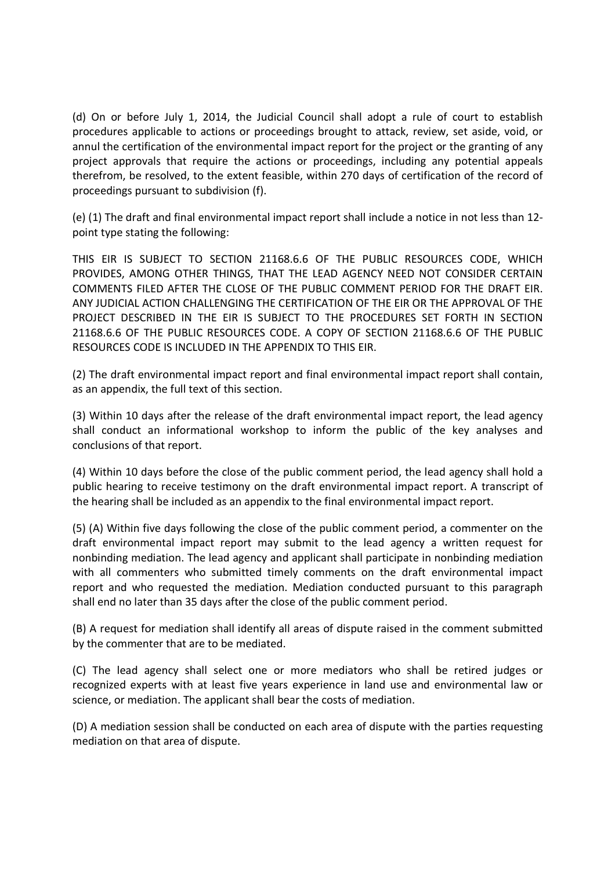(d) On or before July 1, 2014, the Judicial Council shall adopt a rule of court to establish procedures applicable to actions or proceedings brought to attack, review, set aside, void, or annul the certification of the environmental impact report for the project or the granting of any project approvals that require the actions or proceedings, including any potential appeals therefrom, be resolved, to the extent feasible, within 270 days of certification of the record of proceedings pursuant to subdivision (f).

(e) (1) The draft and final environmental impact report shall include a notice in not less than 12 point type stating the following:

THIS EIR IS SUBJECT TO SECTION 21168.6.6 OF THE PUBLIC RESOURCES CODE, WHICH PROVIDES, AMONG OTHER THINGS, THAT THE LEAD AGENCY NEED NOT CONSIDER CERTAIN COMMENTS FILED AFTER THE CLOSE OF THE PUBLIC COMMENT PERIOD FOR THE DRAFT EIR. ANY JUDICIAL ACTION CHALLENGING THE CERTIFICATION OF THE EIR OR THE APPROVAL OF THE PROJECT DESCRIBED IN THE EIR IS SUBJECT TO THE PROCEDURES SET FORTH IN SECTION 21168.6.6 OF THE PUBLIC RESOURCES CODE. A COPY OF SECTION 21168.6.6 OF THE PUBLIC RESOURCES CODE IS INCLUDED IN THE APPENDIX TO THIS EIR.

(2) The draft environmental impact report and final environmental impact report shall contain, as an appendix, the full text of this section.

(3) Within 10 days after the release of the draft environmental impact report, the lead agency shall conduct an informational workshop to inform the public of the key analyses and conclusions of that report.

(4) Within 10 days before the close of the public comment period, the lead agency shall hold a public hearing to receive testimony on the draft environmental impact report. A transcript of the hearing shall be included as an appendix to the final environmental impact report.

(5) (A) Within five days following the close of the public comment period, a commenter on the draft environmental impact report may submit to the lead agency a written request for nonbinding mediation. The lead agency and applicant shall participate in nonbinding mediation with all commenters who submitted timely comments on the draft environmental impact report and who requested the mediation. Mediation conducted pursuant to this paragraph shall end no later than 35 days after the close of the public comment period.

(B) A request for mediation shall identify all areas of dispute raised in the comment submitted by the commenter that are to be mediated.

(C) The lead agency shall select one or more mediators who shall be retired judges or recognized experts with at least five years experience in land use and environmental law or science, or mediation. The applicant shall bear the costs of mediation.

(D) A mediation session shall be conducted on each area of dispute with the parties requesting mediation on that area of dispute.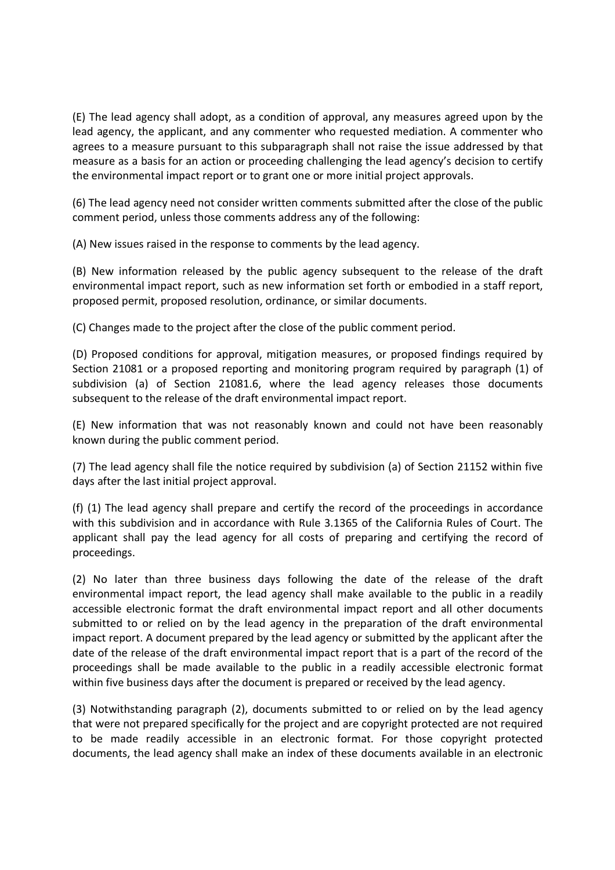(E) The lead agency shall adopt, as a condition of approval, any measures agreed upon by the lead agency, the applicant, and any commenter who requested mediation. A commenter who agrees to a measure pursuant to this subparagraph shall not raise the issue addressed by that measure as a basis for an action or proceeding challenging the lead agency's decision to certify the environmental impact report or to grant one or more initial project approvals.

(6) The lead agency need not consider written comments submitted after the close of the public comment period, unless those comments address any of the following:

(A) New issues raised in the response to comments by the lead agency.

(B) New information released by the public agency subsequent to the release of the draft environmental impact report, such as new information set forth or embodied in a staff report, proposed permit, proposed resolution, ordinance, or similar documents.

(C) Changes made to the project after the close of the public comment period.

(D) Proposed conditions for approval, mitigation measures, or proposed findings required by Section 21081 or a proposed reporting and monitoring program required by paragraph (1) of subdivision (a) of Section 21081.6, where the lead agency releases those documents subsequent to the release of the draft environmental impact report.

(E) New information that was not reasonably known and could not have been reasonably known during the public comment period.

(7) The lead agency shall file the notice required by subdivision (a) of Section 21152 within five days after the last initial project approval.

(f) (1) The lead agency shall prepare and certify the record of the proceedings in accordance with this subdivision and in accordance with Rule 3.1365 of the California Rules of Court. The applicant shall pay the lead agency for all costs of preparing and certifying the record of proceedings.

(2) No later than three business days following the date of the release of the draft environmental impact report, the lead agency shall make available to the public in a readily accessible electronic format the draft environmental impact report and all other documents submitted to or relied on by the lead agency in the preparation of the draft environmental impact report. A document prepared by the lead agency or submitted by the applicant after the date of the release of the draft environmental impact report that is a part of the record of the proceedings shall be made available to the public in a readily accessible electronic format within five business days after the document is prepared or received by the lead agency.

(3) Notwithstanding paragraph (2), documents submitted to or relied on by the lead agency that were not prepared specifically for the project and are copyright protected are not required to be made readily accessible in an electronic format. For those copyright protected documents, the lead agency shall make an index of these documents available in an electronic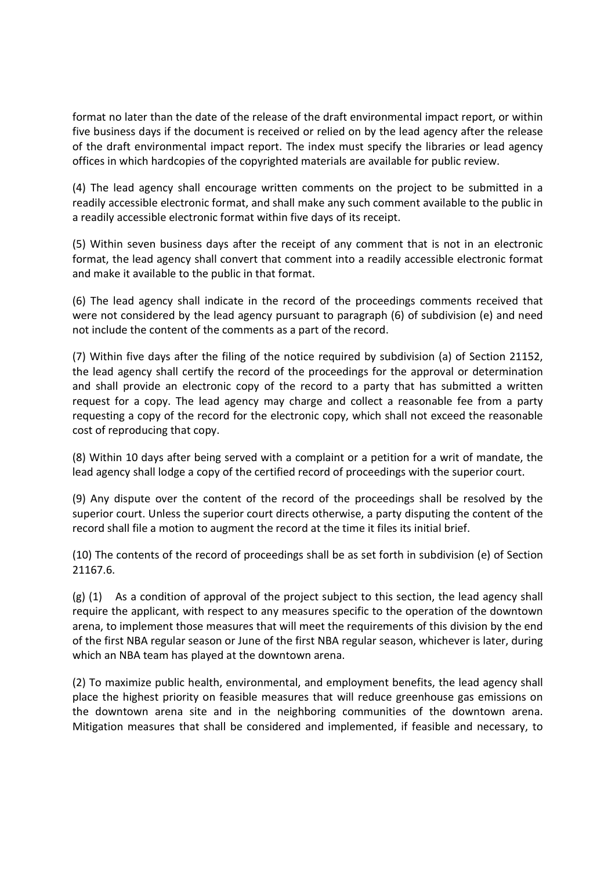format no later than the date of the release of the draft environmental impact report, or within five business days if the document is received or relied on by the lead agency after the release of the draft environmental impact report. The index must specify the libraries or lead agency offices in which hardcopies of the copyrighted materials are available for public review.

(4) The lead agency shall encourage written comments on the project to be submitted in a readily accessible electronic format, and shall make any such comment available to the public in a readily accessible electronic format within five days of its receipt.

(5) Within seven business days after the receipt of any comment that is not in an electronic format, the lead agency shall convert that comment into a readily accessible electronic format and make it available to the public in that format.

(6) The lead agency shall indicate in the record of the proceedings comments received that were not considered by the lead agency pursuant to paragraph (6) of subdivision (e) and need not include the content of the comments as a part of the record.

(7) Within five days after the filing of the notice required by subdivision (a) of Section 21152, the lead agency shall certify the record of the proceedings for the approval or determination and shall provide an electronic copy of the record to a party that has submitted a written request for a copy. The lead agency may charge and collect a reasonable fee from a party requesting a copy of the record for the electronic copy, which shall not exceed the reasonable cost of reproducing that copy.

(8) Within 10 days after being served with a complaint or a petition for a writ of mandate, the lead agency shall lodge a copy of the certified record of proceedings with the superior court.

(9) Any dispute over the content of the record of the proceedings shall be resolved by the superior court. Unless the superior court directs otherwise, a party disputing the content of the record shall file a motion to augment the record at the time it files its initial brief.

(10) The contents of the record of proceedings shall be as set forth in subdivision (e) of Section 21167.6.

(g) (1) As a condition of approval of the project subject to this section, the lead agency shall require the applicant, with respect to any measures specific to the operation of the downtown arena, to implement those measures that will meet the requirements of this division by the end of the first NBA regular season or June of the first NBA regular season, whichever is later, during which an NBA team has played at the downtown arena.

(2) To maximize public health, environmental, and employment benefits, the lead agency shall place the highest priority on feasible measures that will reduce greenhouse gas emissions on the downtown arena site and in the neighboring communities of the downtown arena. Mitigation measures that shall be considered and implemented, if feasible and necessary, to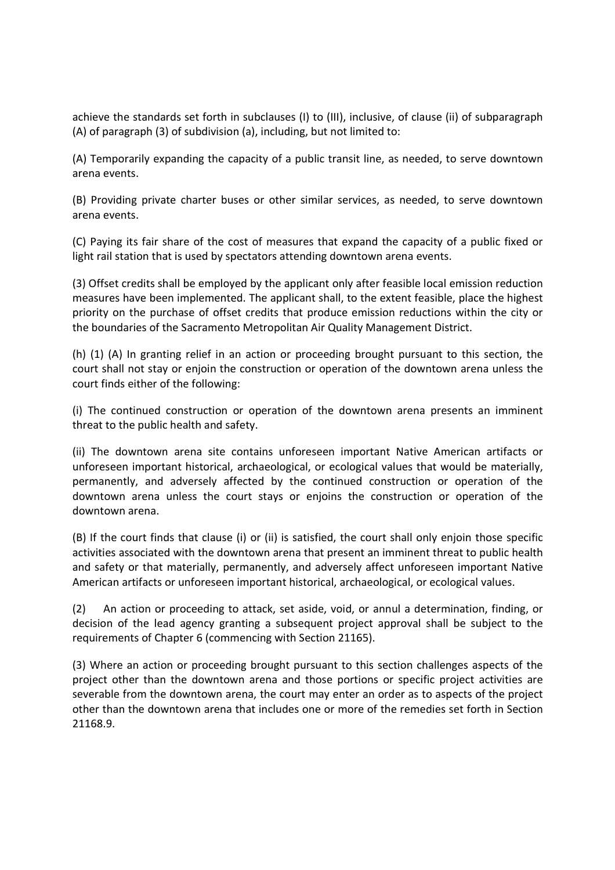achieve the standards set forth in subclauses (I) to (III), inclusive, of clause (ii) of subparagraph (A) of paragraph (3) of subdivision (a), including, but not limited to:

(A) Temporarily expanding the capacity of a public transit line, as needed, to serve downtown arena events.

(B) Providing private charter buses or other similar services, as needed, to serve downtown arena events.

(C) Paying its fair share of the cost of measures that expand the capacity of a public fixed or light rail station that is used by spectators attending downtown arena events.

(3) Offset credits shall be employed by the applicant only after feasible local emission reduction measures have been implemented. The applicant shall, to the extent feasible, place the highest priority on the purchase of offset credits that produce emission reductions within the city or the boundaries of the Sacramento Metropolitan Air Quality Management District.

(h) (1) (A) In granting relief in an action or proceeding brought pursuant to this section, the court shall not stay or enjoin the construction or operation of the downtown arena unless the court finds either of the following:

(i) The continued construction or operation of the downtown arena presents an imminent threat to the public health and safety.

(ii) The downtown arena site contains unforeseen important Native American artifacts or unforeseen important historical, archaeological, or ecological values that would be materially, permanently, and adversely affected by the continued construction or operation of the downtown arena unless the court stays or enjoins the construction or operation of the downtown arena.

(B) If the court finds that clause (i) or (ii) is satisfied, the court shall only enjoin those specific activities associated with the downtown arena that present an imminent threat to public health and safety or that materially, permanently, and adversely affect unforeseen important Native American artifacts or unforeseen important historical, archaeological, or ecological values.

(2) An action or proceeding to attack, set aside, void, or annul a determination, finding, or decision of the lead agency granting a subsequent project approval shall be subject to the requirements of Chapter 6 (commencing with Section 21165).

(3) Where an action or proceeding brought pursuant to this section challenges aspects of the project other than the downtown arena and those portions or specific project activities are severable from the downtown arena, the court may enter an order as to aspects of the project other than the downtown arena that includes one or more of the remedies set forth in Section 21168.9.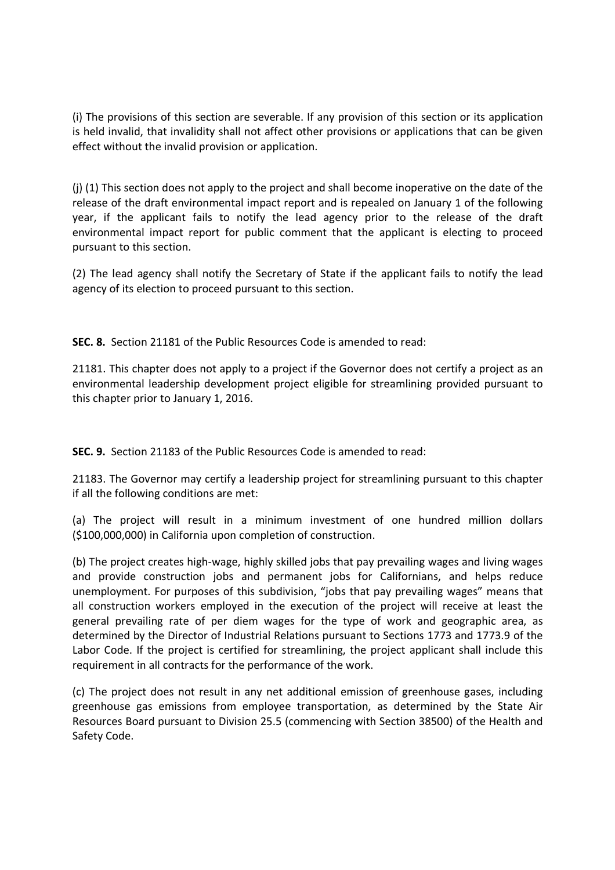(i) The provisions of this section are severable. If any provision of this section or its application is held invalid, that invalidity shall not affect other provisions or applications that can be given effect without the invalid provision or application.

(j) (1) This section does not apply to the project and shall become inoperative on the date of the release of the draft environmental impact report and is repealed on January 1 of the following year, if the applicant fails to notify the lead agency prior to the release of the draft environmental impact report for public comment that the applicant is electing to proceed pursuant to this section.

(2) The lead agency shall notify the Secretary of State if the applicant fails to notify the lead agency of its election to proceed pursuant to this section.

**SEC. 8.** Section 21181 of the Public Resources Code is amended to read:

21181. This chapter does not apply to a project if the Governor does not certify a project as an environmental leadership development project eligible for streamlining provided pursuant to this chapter prior to January 1, 2016.

**SEC. 9.** Section 21183 of the Public Resources Code is amended to read:

21183. The Governor may certify a leadership project for streamlining pursuant to this chapter if all the following conditions are met:

(a) The project will result in a minimum investment of one hundred million dollars (\$100,000,000) in California upon completion of construction.

(b) The project creates high-wage, highly skilled jobs that pay prevailing wages and living wages and provide construction jobs and permanent jobs for Californians, and helps reduce unemployment. For purposes of this subdivision, "jobs that pay prevailing wages" means that all construction workers employed in the execution of the project will receive at least the general prevailing rate of per diem wages for the type of work and geographic area, as determined by the Director of Industrial Relations pursuant to Sections 1773 and 1773.9 of the Labor Code. If the project is certified for streamlining, the project applicant shall include this requirement in all contracts for the performance of the work.

(c) The project does not result in any net additional emission of greenhouse gases, including greenhouse gas emissions from employee transportation, as determined by the State Air Resources Board pursuant to Division 25.5 (commencing with Section 38500) of the Health and Safety Code.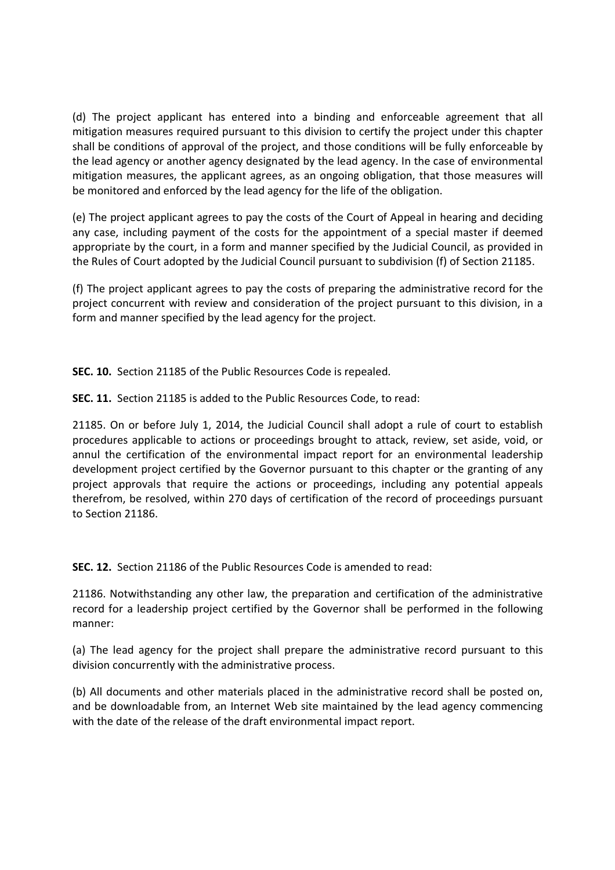(d) The project applicant has entered into a binding and enforceable agreement that all mitigation measures required pursuant to this division to certify the project under this chapter shall be conditions of approval of the project, and those conditions will be fully enforceable by the lead agency or another agency designated by the lead agency. In the case of environmental mitigation measures, the applicant agrees, as an ongoing obligation, that those measures will be monitored and enforced by the lead agency for the life of the obligation.

(e) The project applicant agrees to pay the costs of the Court of Appeal in hearing and deciding any case, including payment of the costs for the appointment of a special master if deemed appropriate by the court, in a form and manner specified by the Judicial Council, as provided in the Rules of Court adopted by the Judicial Council pursuant to subdivision (f) of Section 21185.

(f) The project applicant agrees to pay the costs of preparing the administrative record for the project concurrent with review and consideration of the project pursuant to this division, in a form and manner specified by the lead agency for the project.

**SEC. 10.** Section 21185 of the Public Resources Code is repealed.

**SEC. 11.** Section 21185 is added to the Public Resources Code, to read:

21185. On or before July 1, 2014, the Judicial Council shall adopt a rule of court to establish procedures applicable to actions or proceedings brought to attack, review, set aside, void, or annul the certification of the environmental impact report for an environmental leadership development project certified by the Governor pursuant to this chapter or the granting of any project approvals that require the actions or proceedings, including any potential appeals therefrom, be resolved, within 270 days of certification of the record of proceedings pursuant to Section 21186.

**SEC. 12.** Section 21186 of the Public Resources Code is amended to read:

21186. Notwithstanding any other law, the preparation and certification of the administrative record for a leadership project certified by the Governor shall be performed in the following manner:

(a) The lead agency for the project shall prepare the administrative record pursuant to this division concurrently with the administrative process.

(b) All documents and other materials placed in the administrative record shall be posted on, and be downloadable from, an Internet Web site maintained by the lead agency commencing with the date of the release of the draft environmental impact report.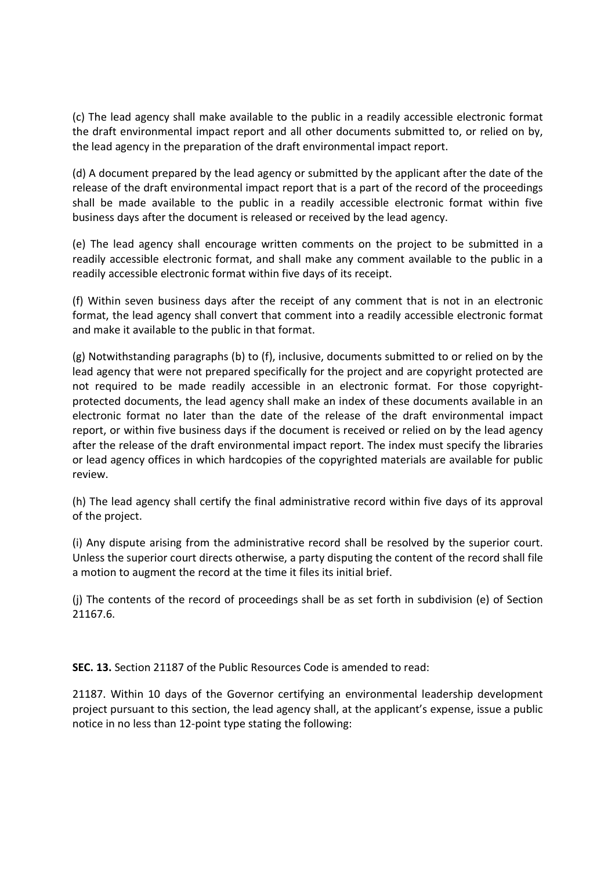(c) The lead agency shall make available to the public in a readily accessible electronic format the draft environmental impact report and all other documents submitted to, or relied on by, the lead agency in the preparation of the draft environmental impact report.

(d) A document prepared by the lead agency or submitted by the applicant after the date of the release of the draft environmental impact report that is a part of the record of the proceedings shall be made available to the public in a readily accessible electronic format within five business days after the document is released or received by the lead agency.

(e) The lead agency shall encourage written comments on the project to be submitted in a readily accessible electronic format, and shall make any comment available to the public in a readily accessible electronic format within five days of its receipt.

(f) Within seven business days after the receipt of any comment that is not in an electronic format, the lead agency shall convert that comment into a readily accessible electronic format and make it available to the public in that format.

(g) Notwithstanding paragraphs (b) to (f), inclusive, documents submitted to or relied on by the lead agency that were not prepared specifically for the project and are copyright protected are not required to be made readily accessible in an electronic format. For those copyrightprotected documents, the lead agency shall make an index of these documents available in an electronic format no later than the date of the release of the draft environmental impact report, or within five business days if the document is received or relied on by the lead agency after the release of the draft environmental impact report. The index must specify the libraries or lead agency offices in which hardcopies of the copyrighted materials are available for public review.

(h) The lead agency shall certify the final administrative record within five days of its approval of the project.

(i) Any dispute arising from the administrative record shall be resolved by the superior court. Unless the superior court directs otherwise, a party disputing the content of the record shall file a motion to augment the record at the time it files its initial brief.

(j) The contents of the record of proceedings shall be as set forth in subdivision (e) of Section 21167.6.

**SEC. 13.** Section 21187 of the Public Resources Code is amended to read:

21187. Within 10 days of the Governor certifying an environmental leadership development project pursuant to this section, the lead agency shall, at the applicant's expense, issue a public notice in no less than 12-point type stating the following: